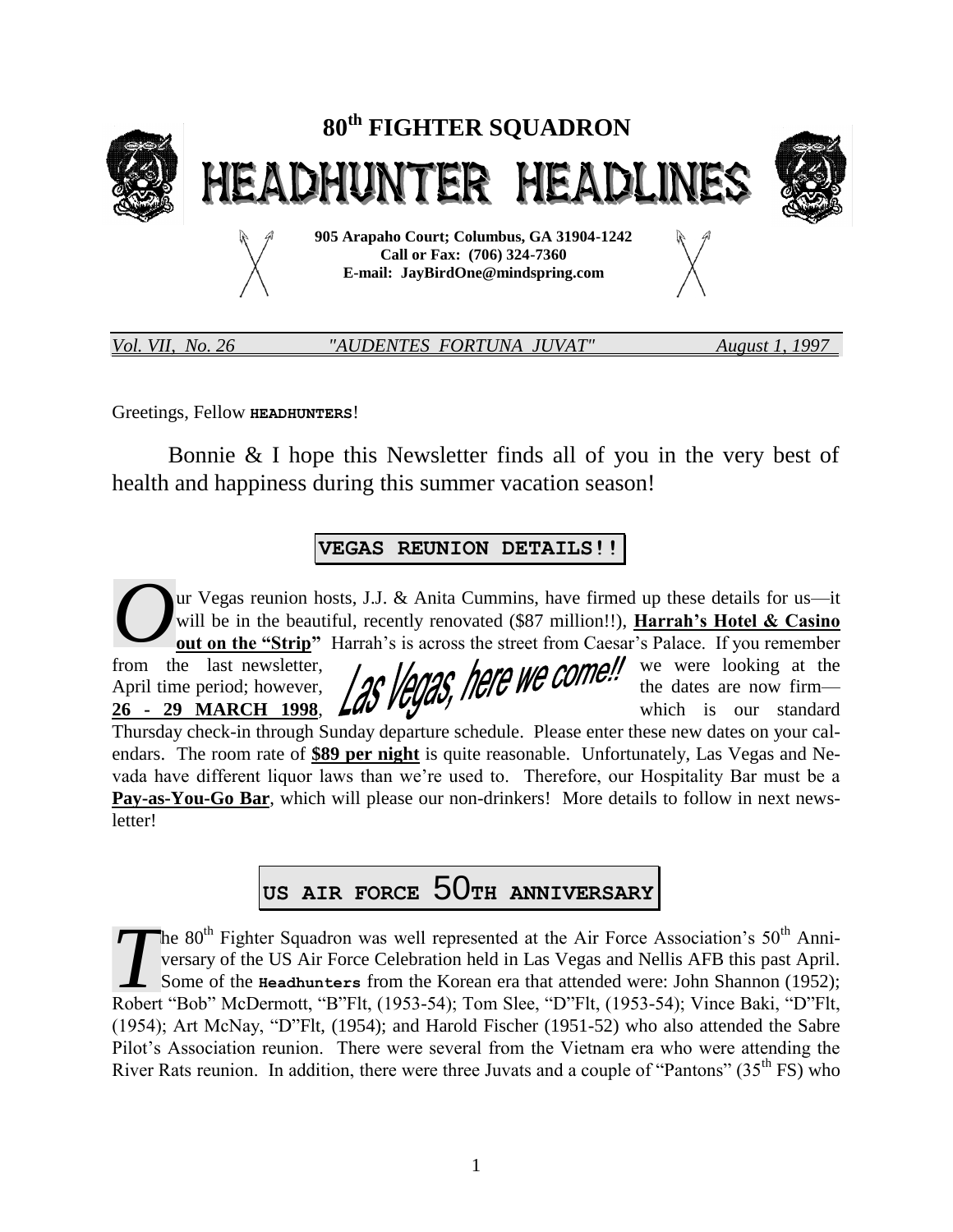

letter!

*Vol. VII, No. 26 "AUDENTES FORTUNA JUVAT" August 1, 1997* 

Greetings, Fellow **HEADHUNTERS**!

Bonnie & I hope this Newsletter finds all of you in the very best of health and happiness during this summer vacation season!

## **VEGAS REUNION DETAILS!!**

ur Vegas reunion hosts, J.J. & Anita Cummins, have firmed up these details for us—it will be in the beautiful, recently renovated (\$87 million!!), **Harrah's Hotel & Casino out on the "Strip"** Harrah's is across the street from Caesar's Palace. If you remember from the last newsletter,  $\mu$ ,  $\mu$ ,  $\mu$ ,  $\mu$ ,  $\mu$ ,  $\mu$ ,  $\mu$ ,  $\mu$ ,  $\mu$ ,  $\mu$ ,  $\mu$ ,  $\mu$ ,  $\mu$ ,  $\mu$ ,  $\mu$ ,  $\mu$ ,  $\mu$ ,  $\mu$ ,  $\mu$ ,  $\mu$ ,  $\mu$ ,  $\mu$ ,  $\mu$ ,  $\mu$ ,  $\mu$ ,  $\mu$ ,  $\mu$ ,  $\mu$ ,  $\nu$ ,  $\nu$ ,  $\nu$ ,  $\nu$ ,  $\nu$ April time period; however, the dates are now firm— **26 - 29 MARCH 1998, LUV TYPES** which is our standard Thursday check-in through Sunday departure schedule. Please enter these new dates on your calendars. The room rate of **\$89 per night** is quite reasonable. Unfortunately, Las Vegas and Nevada have different liquor laws than we're used to. Therefore, our Hospitality Bar must be a **Pay-as-You-Go Bar**, which will please our non-drinkers! More details to follow in next news-*O*

**US AIR FORCE** 50**TH ANNIVERSARY**

The  $80<sup>th</sup>$  Fighter Squadron was well represented at the Air Force Association's  $50<sup>th</sup>$  Anniversary of the US Air Force Celebration held in Las Vegas and Nellis AFB this past April. Some of the **Headhunters** from the Korean era that attended were: John Shannon (1952); The 80<sup>th</sup> Fighter Squadron was well represented at the Air Force Association's 50<sup>th</sup> Anniversary of the US Air Force Celebration held in Las Vegas and Nellis AFB this past April.<br>Some of the **Headhunters** from the Korean (1954); Art McNay, "D"Flt, (1954); and Harold Fischer (1951-52) who also attended the Sabre Pilot's Association reunion. There were several from the Vietnam era who were attending the River Rats reunion. In addition, there were three Juvats and a couple of "Pantons" (35<sup>th</sup> FS) who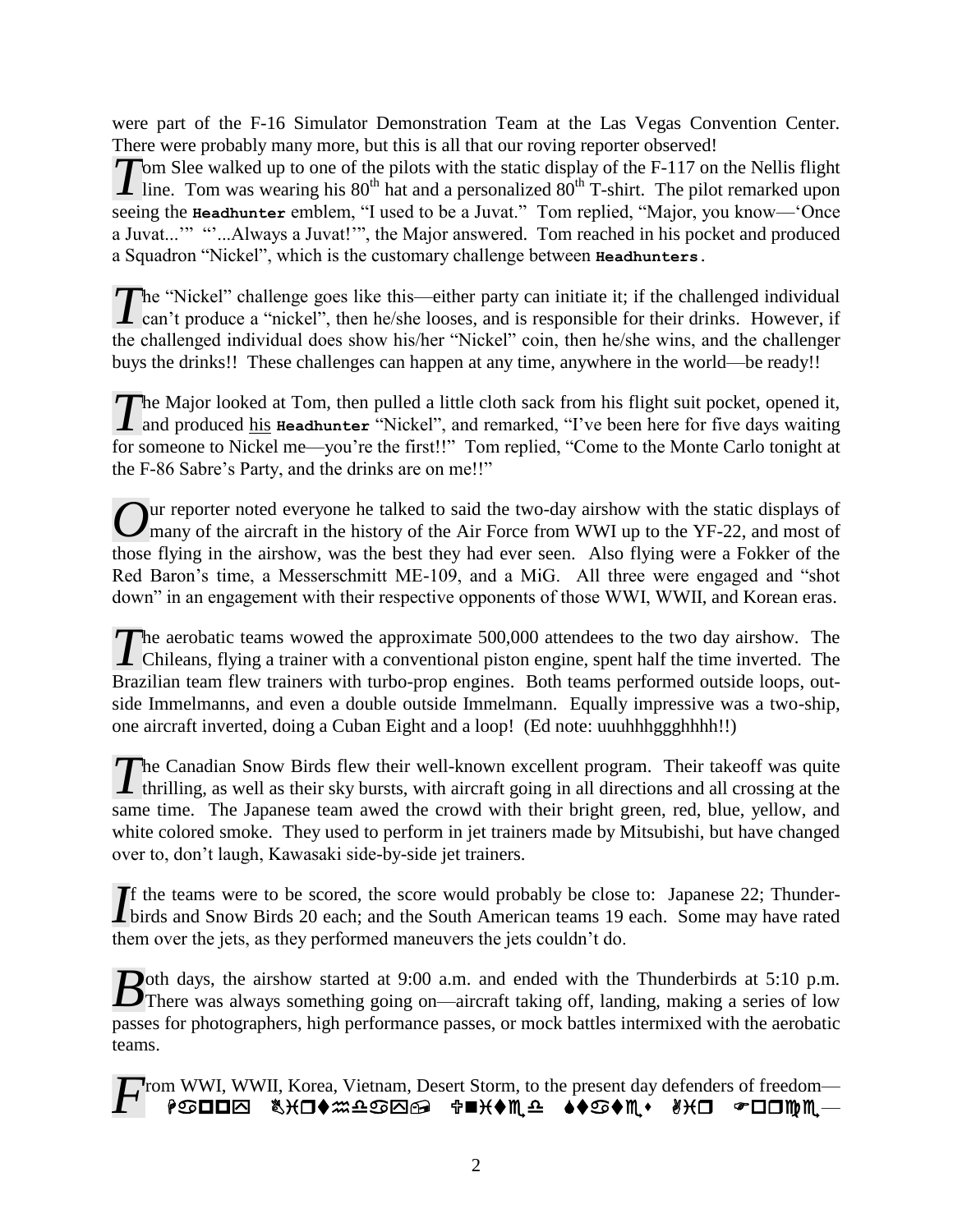were part of the F-16 Simulator Demonstration Team at the Las Vegas Convention Center. There were probably many more, but this is all that our roving reporter observed!

 $\tau$  om Slee walked up to one of the pilots with the static display of the F-117 on the Nellis flight Tom Slee walked up to one of the pilots with the static display of the F-117 on the Nellis flight line. Tom was wearing his 80<sup>th</sup> hat and a personalized 80<sup>th</sup> T-shirt. The pilot remarked upon seeing the **Headhunter** emblem, "I used to be a Juvat." Tom replied, "Major, you know—'Once a Juvat...'" ""...Always a Juvat!'", the Major answered. Tom reached in his pocket and produced a Squadron "Nickel", which is the customary challenge between **Headhunters.**

he "Nickel" challenge goes like this—either party can initiate it; if the challenged individual The "Nickel" challenge goes like this—either party can initiate it; if the challenged individual can't produce a "nickel", then he/she looses, and is responsible for their drinks. However, if the challenged individual does show his/her "Nickel" coin, then he/she wins, and the challenger buys the drinks!! These challenges can happen at any time, anywhere in the world—be ready!!

he Major looked at Tom, then pulled a little cloth sack from his flight suit pocket, opened it, and produced his **Headhunter** "Nickel", and remarked, "I've been here for five days waiting for someone to Nickel me—you're the first!!" Tom replied, "Come to the Monte Carlo tonight at the F-86 Sabre's Party, and the drinks are on me!!" *T*

ur reporter noted everyone he talked to said the two-day airshow with the static displays of Our reporter noted everyone he talked to said the two-day airshow with the static displays of many of the aircraft in the history of the Air Force from WWI up to the YF-22, and most of those flying in the airshow, was the best they had ever seen. Also flying were a Fokker of the Red Baron's time, a Messerschmitt ME-109, and a MiG. All three were engaged and "shot down" in an engagement with their respective opponents of those WWI, WWII, and Korean eras.

The aerobatic teams wowed the approximate 500,000 attendees to the two day airshow. The The aerobatic teams wowed the approximate 500,000 attendees to the two day airshow. The Chileans, flying a trainer with a conventional piston engine, spent half the time inverted. The Brazilian team flew trainers with turbo-prop engines. Both teams performed outside loops, outside Immelmanns, and even a double outside Immelmann. Equally impressive was a two-ship, one aircraft inverted, doing a Cuban Eight and a loop! (Ed note: uuuhhhggghhhh!!)

The Canadian Snow Birds flew their well-known excellent program. Their takeoff was quite thrilling, as well as their sky bursts, with aircraft going in all directions and all crossing at the  $\blacktriangle$  thrilling, as well as their sky bursts, with aircraft going in all directions and all crossing at the same time. The Japanese team awed the crowd with their bright green, red, blue, yellow, and white colored smoke. They used to perform in jet trainers made by Mitsubishi, but have changed over to, don't laugh, Kawasaki side-by-side jet trainers.

f the teams were to be scored, the score would probably be close to: Japanese 22; Thunder-If the teams were to be scored, the score would probably be close to: Japanese 22; Thunder-<br>birds and Snow Birds 20 each; and the South American teams 19 each. Some may have rated them over the jets, as they performed maneuvers the jets couldn't do.

**D**oth days, the airshow started at 9:00 a.m. and ended with the Thunderbirds at 5:10 p.m. Both days, the airshow started at 9:00 a.m. and ended with the Thunderbirds at 5:10 p.m.<br>There was always something going on—aircraft taking off, landing, making a series of low passes for photographers, high performance passes, or mock battles intermixed with the aerobatic teams.

rom WWI, WWII, Korea, Vietnam, Desert Storm, to the present day defenders of freedom— <sup>₽</sup>©OO &XO◆#^^@@@@@@#P\◆M^^^+^\$^#^^\*##\O@^@OO *F*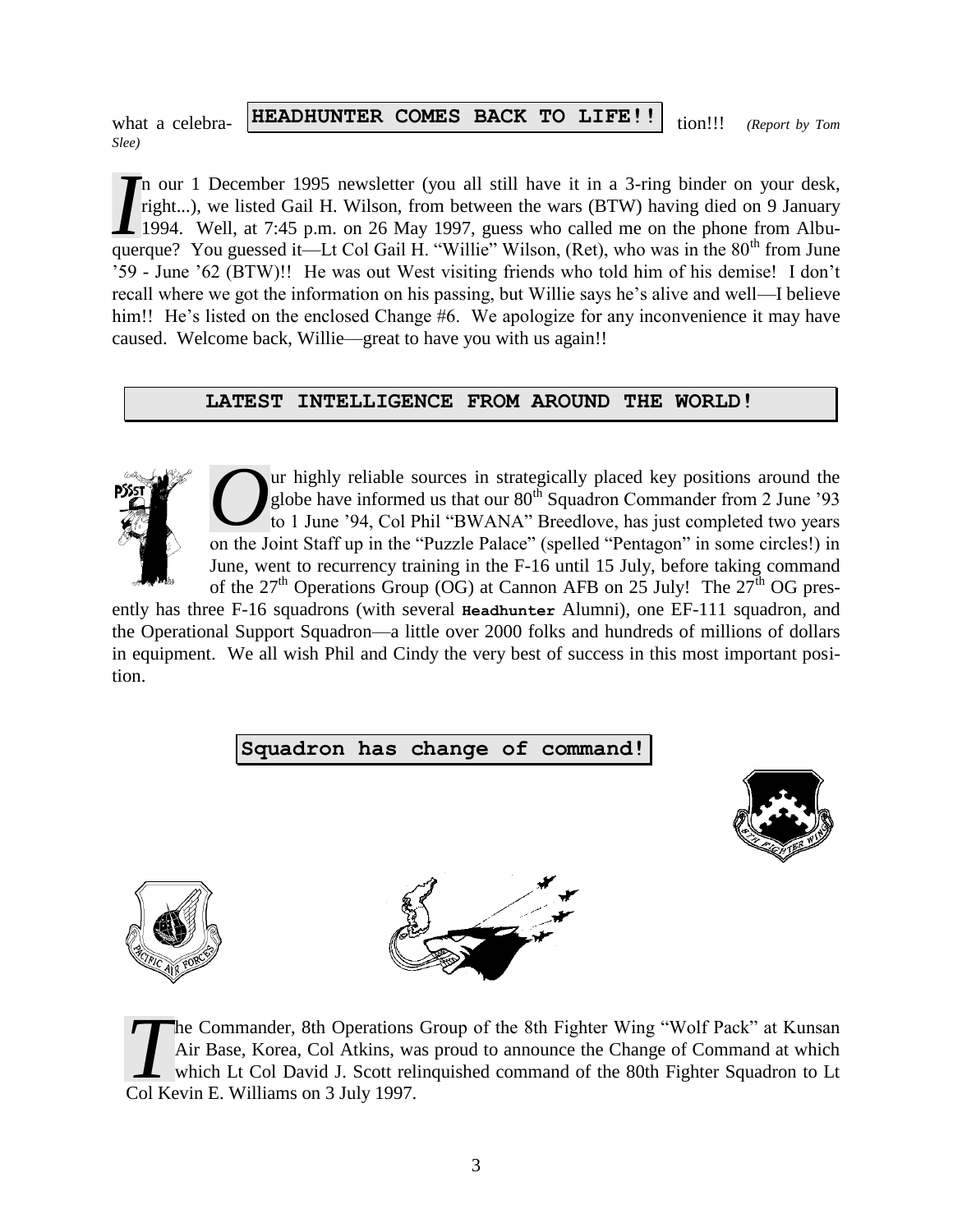what a celebra- **HEADHUNTER COMES BACK TO LIFE!!** tion!!! *(Report by Tom Slee)*

n our 1 December 1995 newsletter (you all still have it in a 3-ring binder on your desk, right...), we listed Gail H. Wilson, from between the wars (BTW) having died on 9 January 1994. Well, at 7:45 p.m. on 26 May 1997, guess who called me on the phone from Albu-In our 1 December 1995 newsletter (you all still have it in a 3-ring binder on your desk, right...), we listed Gail H. Wilson, from between the wars (BTW) having died on 9 January 1994. Well, at 7:45 p.m. on 26 May 1997, g '59 - June '62 (BTW)!! He was out West visiting friends who told him of his demise! I don't recall where we got the information on his passing, but Willie says he's alive and well—I believe him!! He's listed on the enclosed Change #6. We apologize for any inconvenience it may have caused. Welcome back, Willie—great to have you with us again!!

#### **LATEST INTELLIGENCE FROM AROUND THE WORLD!**



ur highly reliable sources in strategically placed key positions around the globe have informed us that our  $80^{th}$  Squadron Commander from 2 June '93 to 1 June '94, Col Phil "BWANA" Breedlove, has just completed two years Our highly reliable sources in strategically placed key positions around the globe have informed us that our 80<sup>th</sup> Squadron Commander from 2 June '93 to 1 June '94, Col Phil "BWANA" Breedlove, has just completed two years June, went to recurrency training in the F-16 until 15 July, before taking command of the  $27<sup>th</sup>$  Operations Group (OG) at Cannon AFB on 25 July! The  $27<sup>th</sup>$  OG pres-

ently has three F-16 squadrons (with several **Headhunter** Alumni), one EF-111 squadron, and the Operational Support Squadron—a little over 2000 folks and hundreds of millions of dollars in equipment. We all wish Phil and Cindy the very best of success in this most important position.

## **Squadron has change of command!**







he Commander, 8th Operations Group of the 8th Fighter Wing "Wolf Pack" at Kunsan Air Base, Korea, Col Atkins, was proud to announce the Change of Command at which which Lt Col David J. Scott relinquished command of the 80th Fighter Squadron to Lt The Commander, 8th Operations<br>Air Base, Korea, Col Atkins, wa<br>Which Lt Col David J. Scott rel<br>Col Kevin E. Williams on 3 July 1997.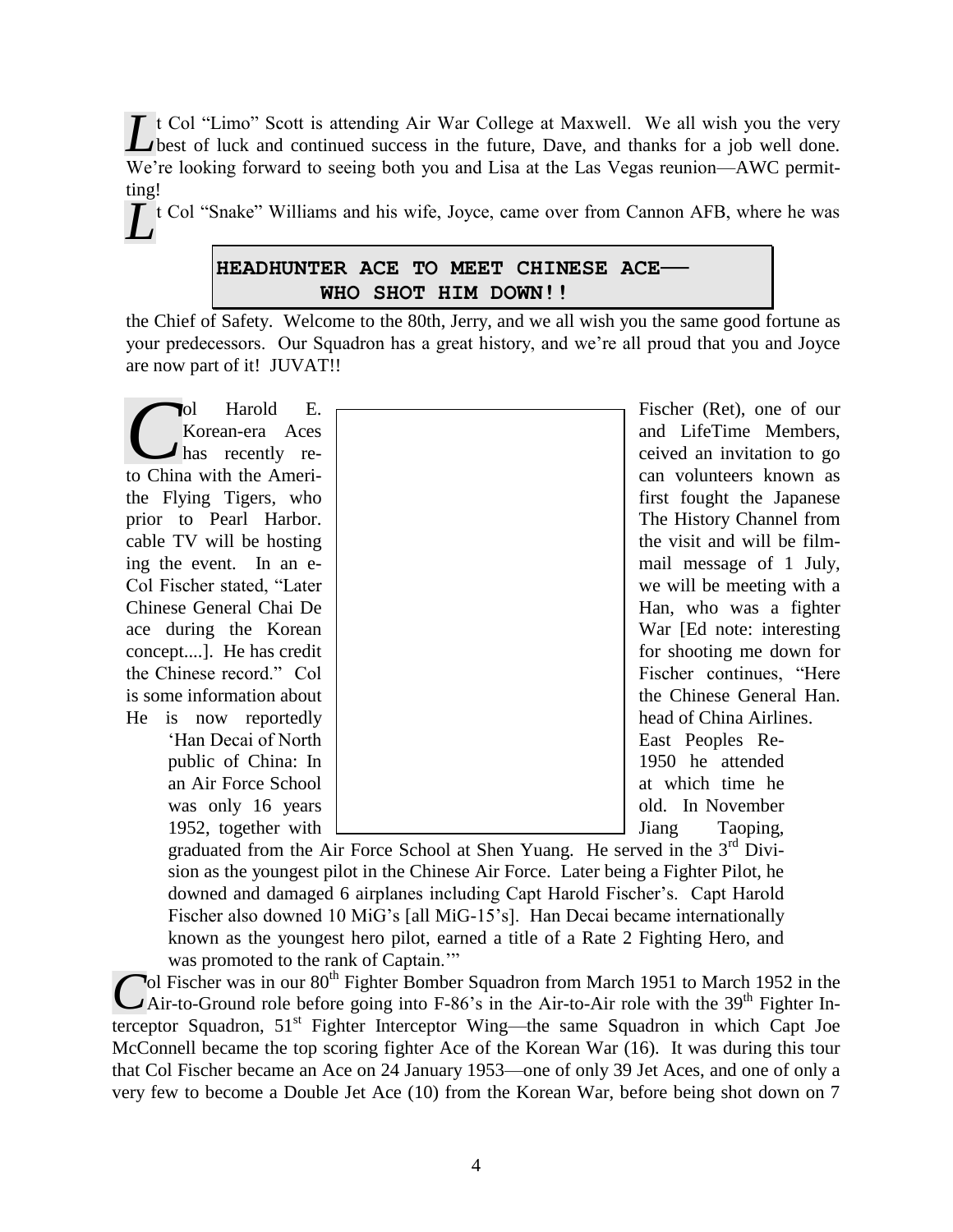Let Col "Limo" Scott is attending Air War College at Maxwell. We all wish you the very best of luck and continued success in the future, Dave, and thanks for a job well done. best of luck and continued success in the future, Dave, and thanks for a job well done. We're looking forward to seeing both you and Lisa at the Las Vegas reunion—AWC permitting!

Let Col "Snake" Williams and his wife, Joyce, came over from Cannon AFB, where he was

## **HEADHUNTER ACE TO MEET CHINESE ACE— WHO SHOT HIM DOWN!!**

the Chief of Safety. Welcome to the 80th, Jerry, and we all wish you the same good fortune as your predecessors. Our Squadron has a great history, and we're all proud that you and Joyce are now part of it! JUVAT!!

1952, together with  $\Box$  Jiang Taoping,

| Harold<br>Е.<br>ЮI<br>Korean-era Aces<br>has recently re- | Fischer (Ret), one of our<br>and LifeTime Members,<br>ceived an invitation to go |
|-----------------------------------------------------------|----------------------------------------------------------------------------------|
| to China with the Ameri-                                  | can volunteers known as                                                          |
| the Flying Tigers, who                                    | first fought the Japanese                                                        |
| prior to Pearl Harbor.                                    | The History Channel from                                                         |
| cable TV will be hosting                                  | the visit and will be film-                                                      |
| ing the event. In an e-                                   | mail message of 1 July,                                                          |
| Col Fischer stated, "Later"                               | we will be meeting with a                                                        |
| Chinese General Chai De                                   | Han, who was a fighter                                                           |
| ace during the Korean                                     | War [Ed note: interesting]                                                       |
| concept]. He has credit                                   | for shooting me down for                                                         |
| the Chinese record." Col                                  | Fischer continues, "Here                                                         |
| is some information about                                 | the Chinese General Han.                                                         |
| He is now reportedly                                      | head of China Airlines.                                                          |
| 'Han Decai of North                                       | East Peoples Re-                                                                 |
| public of China: In                                       | 1950 he attended                                                                 |
| an Air Force School                                       | at which time he                                                                 |
| was only 16 years                                         | old. In November                                                                 |
| 10.52                                                     |                                                                                  |

graduated from the Air Force School at Shen Yuang. He served in the  $3<sup>rd</sup>$  Division as the youngest pilot in the Chinese Air Force. Later being a Fighter Pilot, he downed and damaged 6 airplanes including Capt Harold Fischer's. Capt Harold Fischer also downed 10 MiG's [all MiG-15's]. Han Decai became internationally known as the youngest hero pilot, earned a title of a Rate 2 Fighting Hero, and was promoted to the rank of Captain."

 $\sim$ ol Fischer was in our 80<sup>th</sup> Fighter Bomber Squadron from March 1951 to March 1952 in the **C**ol Fischer was in our 80<sup>th</sup> Fighter Bomber Squadron from March 1951 to March 1952 in the Air-to-Ground role before going into F-86's in the Air-to-Air role with the 39<sup>th</sup> Fighter Interceptor Squadron, 51<sup>st</sup> Fighter Interceptor Wing—the same Squadron in which Capt Joe McConnell became the top scoring fighter Ace of the Korean War (16). It was during this tour that Col Fischer became an Ace on 24 January 1953—one of only 39 Jet Aces, and one of only a very few to become a Double Jet Ace (10) from the Korean War, before being shot down on 7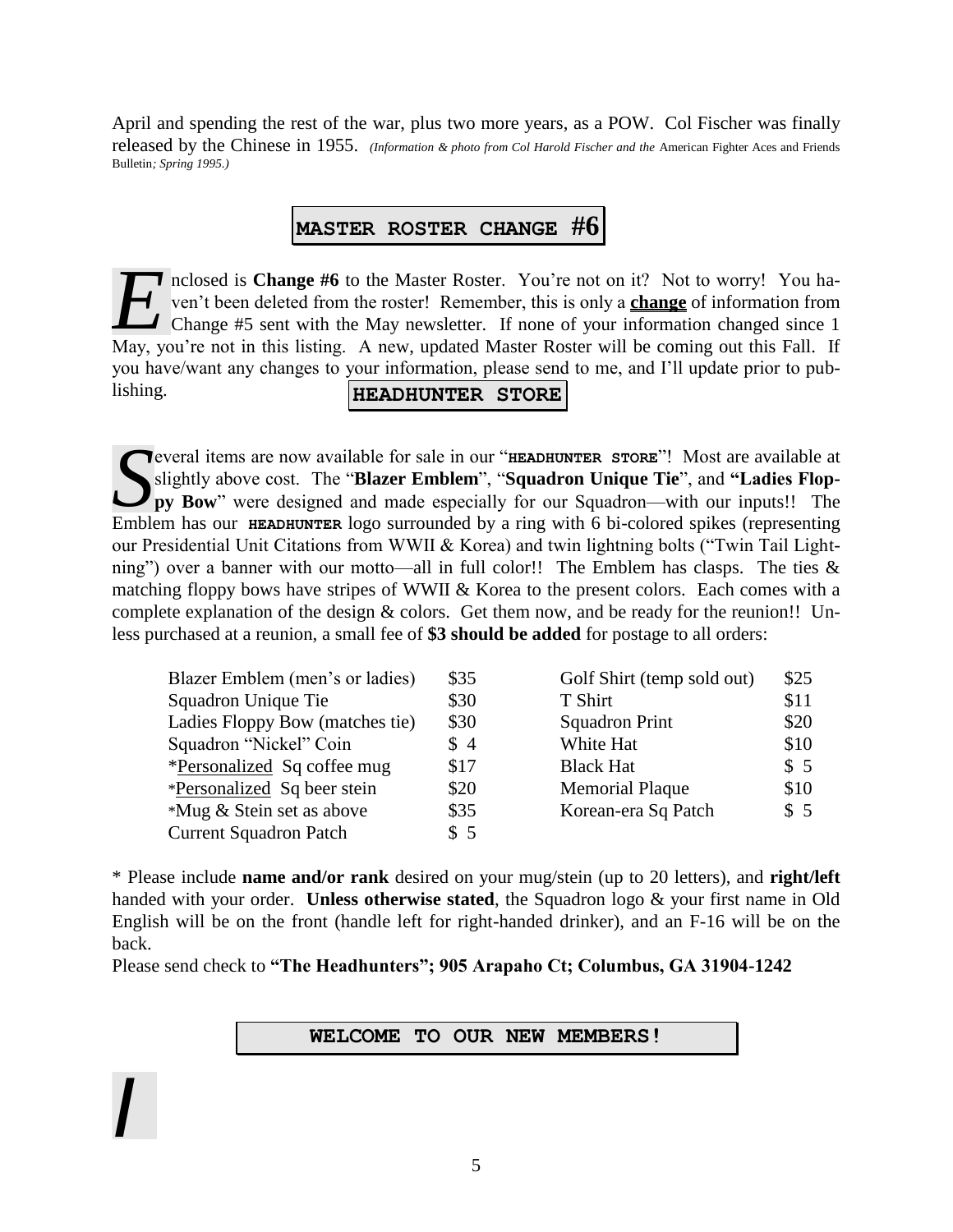April and spending the rest of the war, plus two more years, as a POW. Col Fischer was finally released by the Chinese in 1955. *(Information & photo from Col Harold Fischer and the* American Fighter Aces and Friends Bulletin*; Spring 1995.)*

## **MASTER ROSTER CHANGE #6**

**T** nclosed is **Change #6** to the Master Roster. You're not on it? Not to worry! You haven't been deleted from the roster! Remember, this is only a **change** of information from Change #5 sent with the May newsletter. If none of your information changed since 1 relosed is **Change #6** to the Master Roster. You're not on it? Not to worry! You haven't been deleted from the roster! Remember, this is only a **change** of information from Change #5 sent with the May newsletter. If none o you have/want any changes to your information, please send to me, and I'll update prior to publishing. **HEADHUNTER STORE**

Sughtly above cost. The "Blazer Emblem", "Squadron Unique Tie", and "Ladies Floppy Bow" were designed and made especially for our Squadron—with our inputs!! The slightly above cost. The "**Blazer Emblem**", "**Squadron Unique Tie**", and **"Ladies Floppy Bow**" were designed and made especially for our Squadron—with our inputs!! The Emblem has our **HEADHUNTER** logo surrounded by a ring with 6 bi-colored spikes (representing our Presidential Unit Citations from WWII & Korea) and twin lightning bolts ("Twin Tail Lightning") over a banner with our motto—all in full color!! The Emblem has clasps. The ties  $\&$ matching floppy bows have stripes of WWII & Korea to the present colors. Each comes with a complete explanation of the design  $&$  colors. Get them now, and be ready for the reunion!! Unless purchased at a reunion, a small fee of **\$3 should be added** for postage to all orders:

| Blazer Emblem (men's or ladies) | \$35 | Golf Shirt (temp sold out) | \$25 |
|---------------------------------|------|----------------------------|------|
| Squadron Unique Tie             | \$30 | T Shirt                    | \$11 |
| Ladies Floppy Bow (matches tie) | \$30 | <b>Squadron Print</b>      | \$20 |
| Squadron "Nickel" Coin          | \$4  | White Hat                  | \$10 |
| *Personalized Sq coffee mug     | \$17 | <b>Black Hat</b>           | \$5  |
| *Personalized Sq beer stein     | \$20 | <b>Memorial Plaque</b>     | \$10 |
| *Mug & Stein set as above       | \$35 | Korean-era Sq Patch        | \$5  |
| <b>Current Squadron Patch</b>   | \$5  |                            |      |

\* Please include **name and/or rank** desired on your mug/stein (up to 20 letters), and **right/left** handed with your order. **Unless otherwise stated**, the Squadron logo & your first name in Old English will be on the front (handle left for right-handed drinker), and an F-16 will be on the back.

Please send check to **"The Headhunters"; 905 Arapaho Ct; Columbus, GA 31904-1242**

*I*

#### **WELCOME TO OUR NEW MEMBERS!**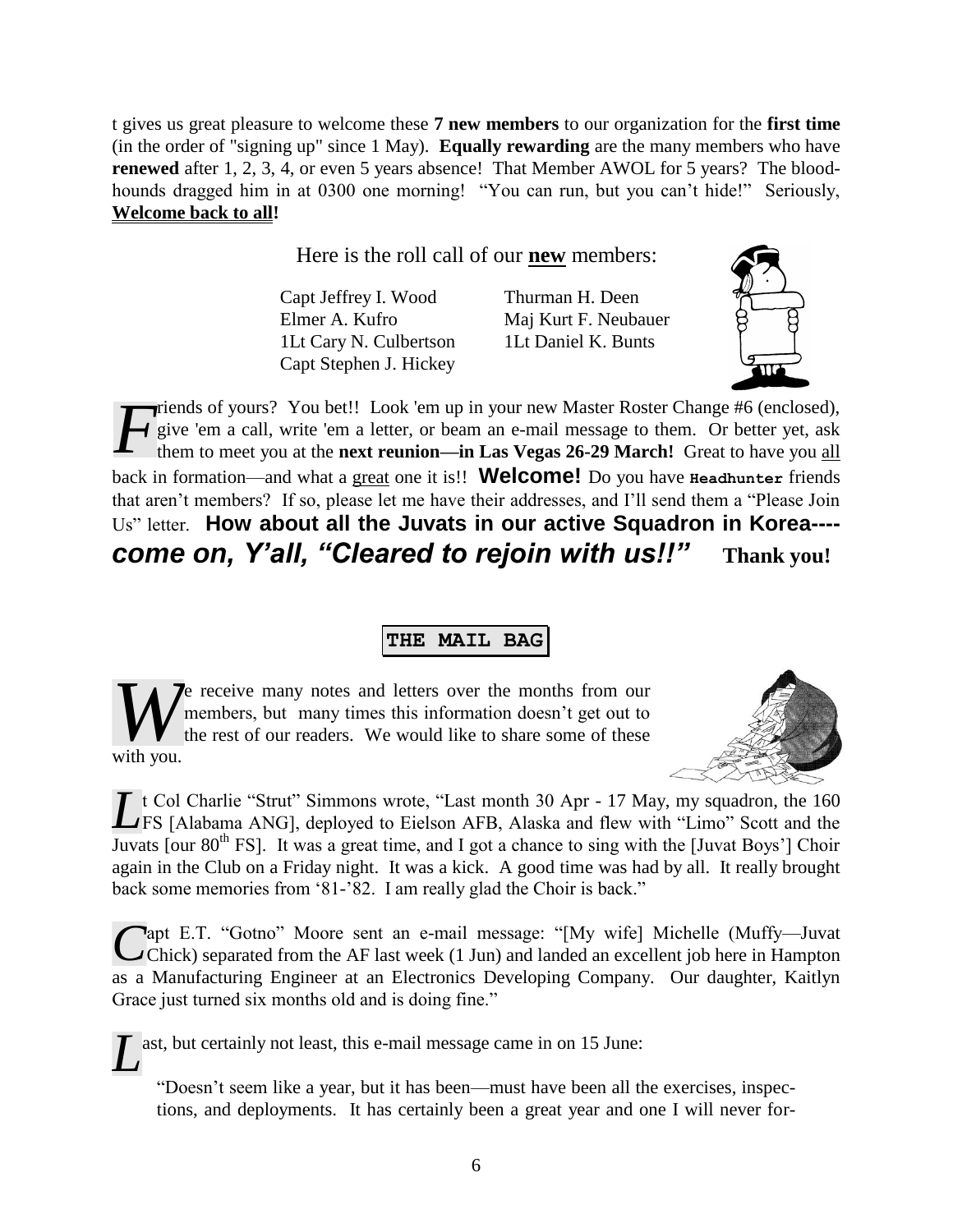t gives us great pleasure to welcome these **7 new members** to our organization for the **first time**  (in the order of "signing up" since 1 May). **Equally rewarding** are the many members who have **renewed** after 1, 2, 3, 4, or even 5 years absence! That Member AWOL for 5 years? The bloodhounds dragged him in at 0300 one morning! "You can run, but you can't hide!" Seriously, **Welcome back to all!**

Here is the roll call of our **new** members:

Capt Jeffrey I. Wood Thurman H. Deen Elmer A. Kufro Maj Kurt F. Neubauer 1Lt Cary N. Culbertson 1Lt Daniel K. Bunts Capt Stephen J. Hickey

riends of yours? You bet!! Look 'em up in your new Master Roster Change #6 (enclosed), give 'em a call, write 'em a letter, or beam an e-mail message to them. Or better yet, ask them to meet you at the **next reunion—in Las Vegas 26-29 March!** Great to have you all back in formation—and what a great one it is!! **Welcome!** Do you have **Headhunter** friends that aren't members? If so, please let me have their addresses, and I'll send them a "Please Join Us" letter. **How about all the Juvats in our active Squadron in Korea---** *come on, Y'all, "Cleared to rejoin with us!!"* **Thank you!** *F*

**THE MAIL BAG**

**J**e receive many notes and letters over the months from our members, but many times this information doesn't get out to the rest of our readers. We would like to share some of these with you. *W*

*L* t Col Charlie "Strut" Simmons wrote, "Last month 30 Apr - 17 May, my squadron, the 160 *LFS* [Alabama ANG], deployed to Eielson AFB, Alaska and flew with "Limo" Scott and the LFS [Alabama ANG], deployed to Eielson AFB, Alaska and flew with "Limo" Scott and the Juvats [our  $80^{th}$  FS]. It was a great time, and I got a chance to sing with the [Juvat Boys'] Choir again in the Club on a Friday night. It was a kick. A good time was had by all. It really brought back some memories from '81-'82. I am really glad the Choir is back."

apt E.T. "Gotno" Moore sent an e-mail message: "[My wife] Michelle (Muffy—Juvat Capt E.T. "Gotno" Moore sent an e-mail message: "[My wife] Michelle (Muffy—Juvat Chick) separated from the AF last week (1 Jun) and landed an excellent job here in Hampton as a Manufacturing Engineer at an Electronics Developing Company. Our daughter, Kaitlyn Grace just turned six months old and is doing fine."

L ast, but certainly not least, this e-mail message came in on 15 June: "Doesn't seem like a year, but it has been—must have been all the exercises, inspections, and deployments. It has certainly been a great year and one I will never for-



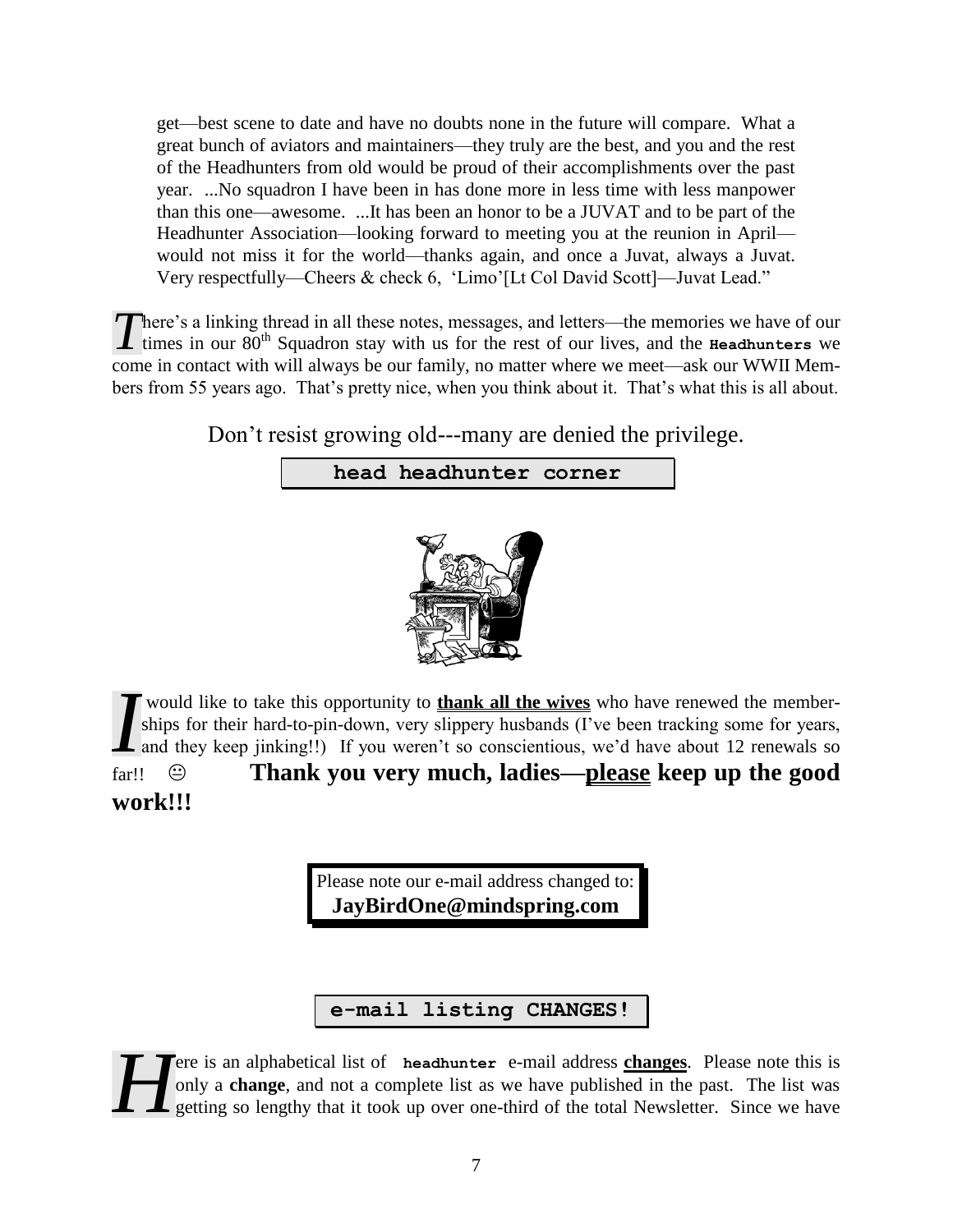get—best scene to date and have no doubts none in the future will compare. What a great bunch of aviators and maintainers—they truly are the best, and you and the rest of the Headhunters from old would be proud of their accomplishments over the past year. ...No squadron I have been in has done more in less time with less manpower than this one—awesome. ...It has been an honor to be a JUVAT and to be part of the Headhunter Association—looking forward to meeting you at the reunion in April would not miss it for the world—thanks again, and once a Juvat, always a Juvat. Very respectfully—Cheers & check 6, 'Limo'[Lt Col David Scott]—Juvat Lead."

There's a linking thread in all these notes, messages, and letters—the memories we have of our There's a linking thread in all these notes, messages, and letters—the memories we have of our times in our 80<sup>th</sup> Squadron stay with us for the rest of our lives, and the **Headhunters** we come in contact with will always be our family, no matter where we meet—ask our WWII Members from 55 years ago. That's pretty nice, when you think about it. That's what this is all about.

Don't resist growing old---many are denied the privilege.

## **head headhunter corner**



would like to take this opportunity to **thank all the wives** who have renewed the memberships for their hard-to-pin-down, very slippery husbands (I've been tracking some for years, and they keep jinking!!) If you weren't so conscientious, we'd have about 12 renewals so far!! **Thank you very much, ladies—please keep up the good**  *I*

## **work!!!**

Please note our e-mail address changed to: **JayBirdOne@mindspring.com** 

**e-mail listing CHANGES!**

ere is an alphabetical list of **headhunter** e-mail address **changes**. Please note this is only a **change**, and not a complete list as we have published in the past. The list was getting so lengthy that it took up over one-third of the total Newsletter. Since we have *H*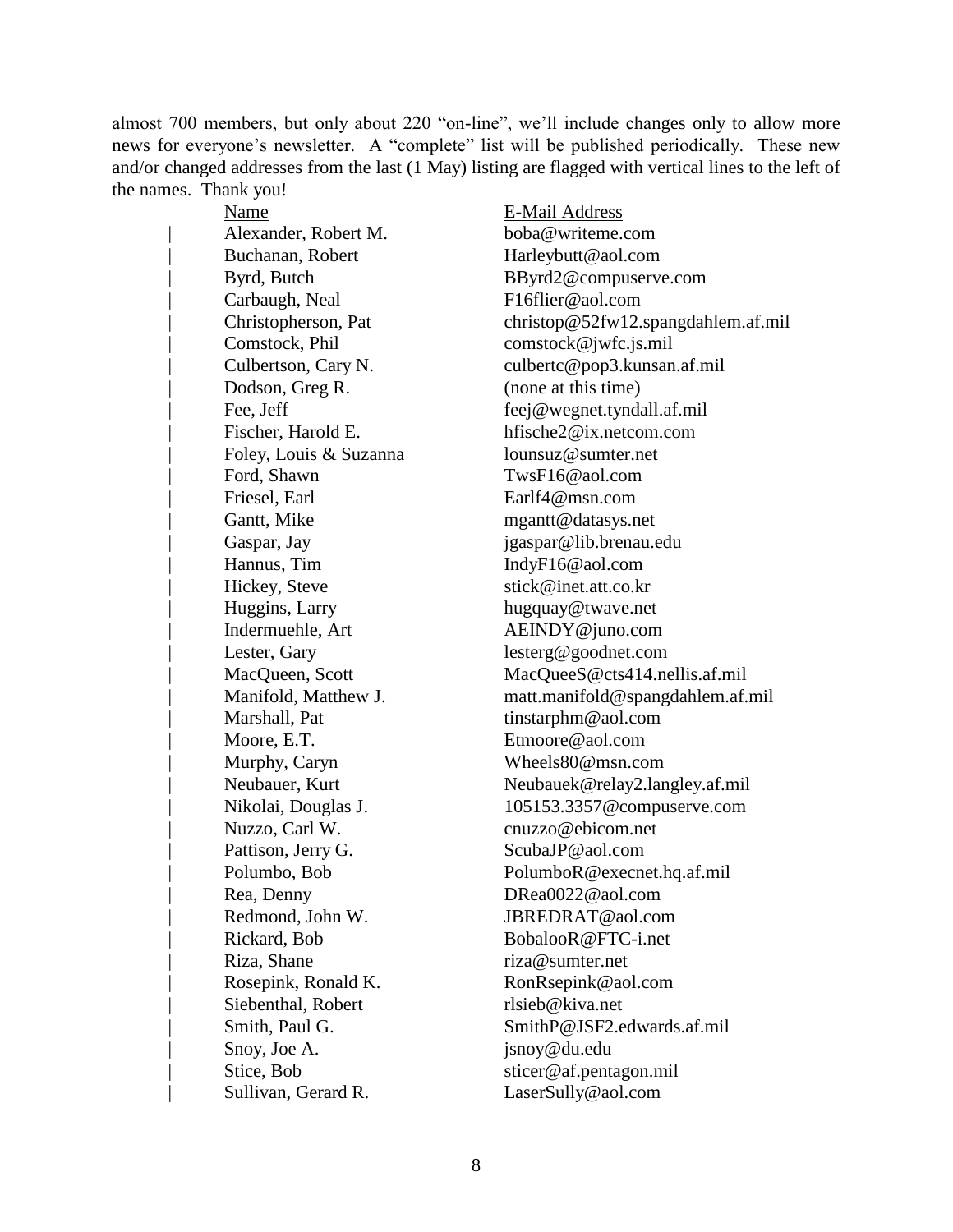almost 700 members, but only about 220 "on-line", we'll include changes only to allow more news for everyone's newsletter. A "complete" list will be published periodically. These new and/or changed addresses from the last (1 May) listing are flagged with vertical lines to the left of the names. Thank you!

| <b>Name</b>            | <b>E-Mail Address</b>              |
|------------------------|------------------------------------|
| Alexander, Robert M.   | boba@writeme.com                   |
| Buchanan, Robert       | Harleybutt@aol.com                 |
| Byrd, Butch            | BByrd2@compuserve.com              |
| Carbaugh, Neal         | F16flier@aol.com                   |
| Christopherson, Pat    | christop@52fw12.spangdahlem.af.mil |
| Comstock, Phil         | comstock@jwfc.js.mil               |
| Culbertson, Cary N.    | culbertc@pop3.kunsan.af.mil        |
| Dodson, Greg R.        | (none at this time)                |
| Fee, Jeff              | feej@wegnet.tyndall.af.mil         |
| Fischer, Harold E.     | hfische2@ix.netcom.com             |
| Foley, Louis & Suzanna | lounsuz@sumter.net                 |
| Ford, Shawn            | TwsF16@aol.com                     |
| Friesel, Earl          | $\text{Earlf4@msn.com}$            |
| Gantt, Mike            | mgantt@datasys.net                 |
| Gaspar, Jay            | jgaspar@lib.brenau.edu             |
| Hannus, Tim            | IndyF16@aol.com                    |
| Hickey, Steve          | stick@inet.att.co.kr               |
| Huggins, Larry         | hugquay@twave.net                  |
| Indermuehle, Art       | AEINDY@juno.com                    |
| Lester, Gary           | lesterg@goodnet.com                |
| MacQueen, Scott        | MacQueeS@cts414.nellis.af.mil      |
| Manifold, Matthew J.   | matt.manifold@spangdahlem.af.mil   |
| Marshall, Pat          | tinstarphm@aol.com                 |
| Moore, E.T.            | Etmoore@aol.com                    |
| Murphy, Caryn          | Wheels80@msn.com                   |
| Neubauer, Kurt         | Neubauek@relay2.langley.af.mil     |
| Nikolai, Douglas J.    | 105153.3357@compuserve.com         |
| Nuzzo, Carl W.         | cnuzzo@ebicom.net                  |
| Pattison, Jerry G.     | ScubaJP@aol.com                    |
| Polumbo, Bob           | PolumboR@execnet.hq.af.mil         |
| Rea, Denny             | DReal0022@aol.com                  |
| Redmond, John W.       | JBREDRAT@aol.com                   |
| Rickard, Bob           | BobalooR@FTC-i.net                 |
| Riza, Shane            | riza@sumter.net                    |
| Rosepink, Ronald K.    | RonRsepink@aol.com                 |
| Siebenthal, Robert     | rlsieb@kiva.net                    |
| Smith, Paul G.         | SmithP@JSF2.edwards.af.mil         |
| Snoy, Joe A.           | jsnoy@du.edu                       |
| Stice, Bob             | sticer@af.pentagon.mil             |
| Sullivan, Gerard R.    | LaserSully@aol.com                 |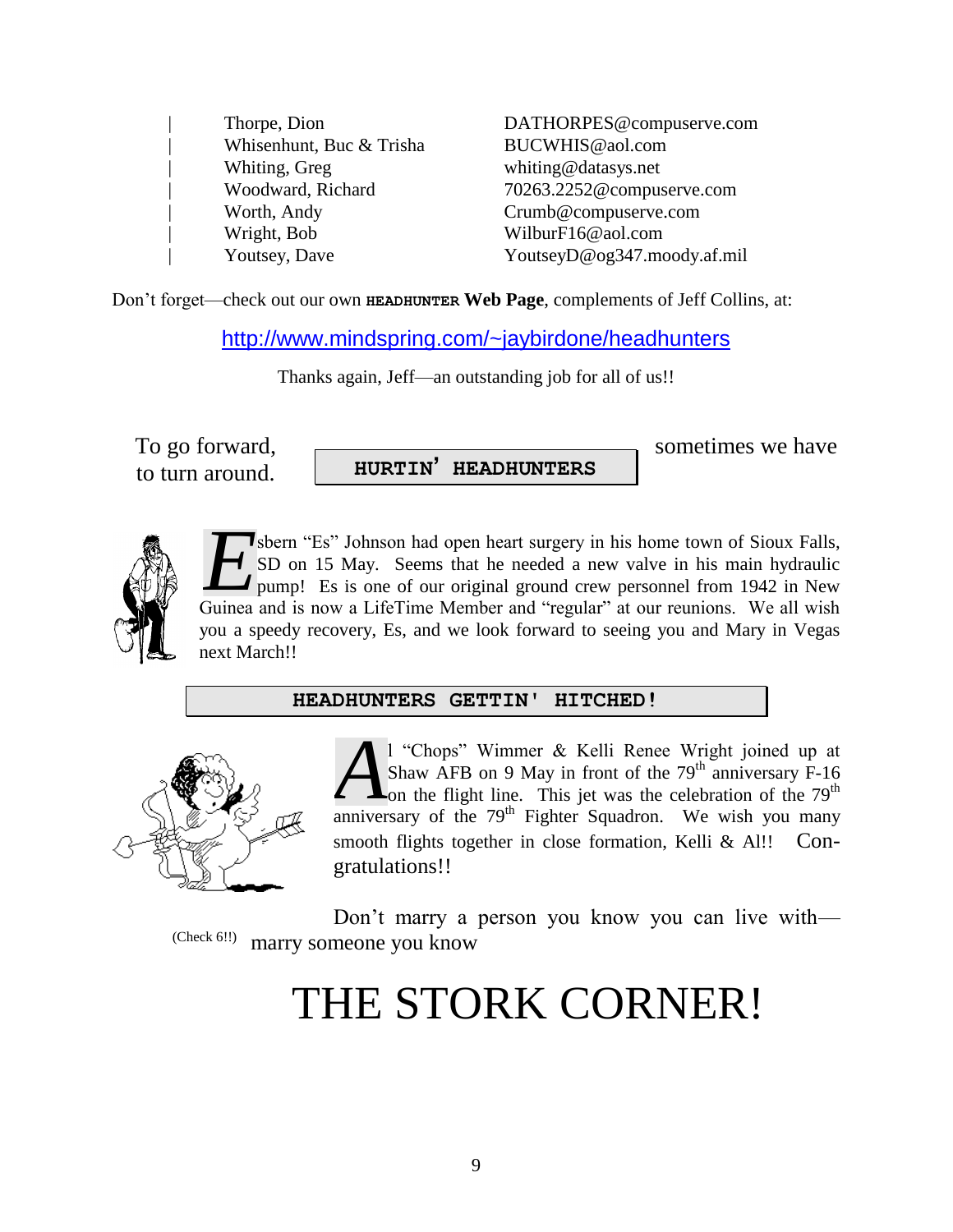| Thorpe, Dion             |
|--------------------------|
| Whisenhunt, Buc & Trisha |
| Whiting, Greg            |
| Woodward, Richard        |
| Worth, Andy              |
| Wright, Bob              |
| <b>Youtsey</b> , Dave    |

DATHORPES@compuserve.com BUCWHIS@aol.com whiting@datasys.net | Woodward, Richard 70263.2252@compuserve.com  $Crumb@complexerve.com$  $WilburF16@aol.com$ | Youtsey, Dave YoutseyD@og347.moody.af.mil

Don't forget—check out our own **HEADHUNTER Web Page**, complements of Jeff Collins, at:

http://www.mindspring.com/~jaybirdone/headhunters

Thanks again, Jeff—an outstanding job for all of us!!

to turn around.

**HURTIN' HEADHUNTERS**

To go forward,  $\overline{\phantom{a}}$ 



sbern "Es" Johnson had open heart surgery in his home town of Sioux Falls, SD on 15 May. Seems that he needed a new valve in his main hydraulic pump! Es is one of our original ground crew personnel from 1942 in New **EXECUTE:** SD on 15 May. Seems that he needed a new valve in his main hydraulic pump! Es is one of our original ground crew personnel from 1942 in New Guinea and is now a LifeTime Member and "regular" at our reunions. We a you a speedy recovery, Es, and we look forward to seeing you and Mary in Vegas next March!!

### **HEADHUNTERS GETTIN' HITCHED!**



l "Chops" Wimmer & Kelli Renee Wright joined up at Shaw AFB on 9 May in front of the  $79<sup>th</sup>$  anniversary F-16  $\mathsf{L}_{\text{on the flight line.}}$  This jet was the celebration of the 79<sup>th</sup> **A** <sup>1</sup> "Chops" Wimmer & Kelli Renee Wright joined up at Shaw AFB on 9 May in front of the 79<sup>th</sup> anniversary F-16 on the flight line. This jet was the celebration of the 79<sup>th</sup> anniversary of the 79<sup>th</sup> Fighter Squadron. smooth flights together in close formation, Kelli & Al!! Congratulations!!

Don't marry a person you know you can live with marry someone you know (Check 6!!)

# THE STORK CORNER!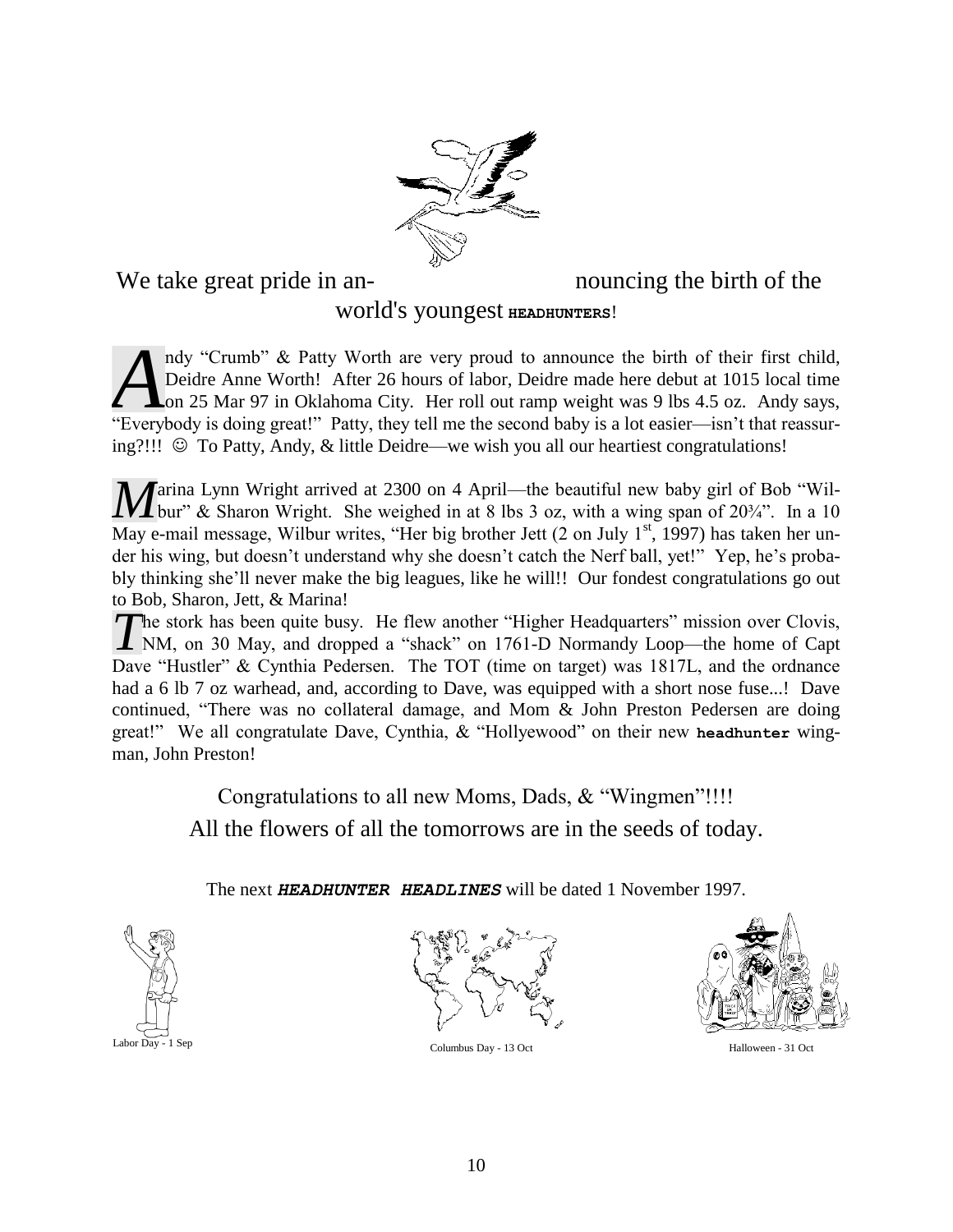

## We take great pride in an-<br>mouncing the birth of the

## world's youngest **HEADHUNTERS**!

ndy "Crumb" & Patty Worth are very proud to announce the birth of their first child, Deidre Anne Worth! After 26 hours of labor, Deidre made here debut at 1015 local time L on 25 Mar 97 in Oklahoma City. Her roll out ramp weight was 9 lbs 4.5 oz. Andy says, ndy "Crumb" & Patty Worth are very proud to announce the birth of their first child, Deidre Anne Worth! After 26 hours of labor, Deidre made here debut at 1015 local time on 25 Mar 97 in Oklahoma City. Her roll out ramp we ing?!!!  $\circledcirc$  To Patty, Andy, & little Deidre—we wish you all our heartiest congratulations!

**A** arina Lynn Wright arrived at 2300 on 4 April—the beautiful new baby girl of Bob "Wil**bur**" & Sharon Wright. She weighed in at 8 lbs 3 oz, with a wing span of 20<sup>3</sup>/4". In a 10 May e-mail message, Wilbur writes, "Her big brother Jett  $(2 \text{ on July } 1^{st}, 1997)$  has taken her under his wing, but doesn't understand why she doesn't catch the Nerf ball, yet!" Yep, he's probably thinking she'll never make the big leagues, like he will!! Our fondest congratulations go out to Bob, Sharon, Jett, & Marina!

The stork has been quite busy. He flew another "Higher Headquarters" mission over Clovis, The stork has been quite busy. He flew another "Higher Headquarters" mission over Clovis, NM, on 30 May, and dropped a "shack" on 1761-D Normandy Loop—the home of Capt Dave "Hustler" & Cynthia Pedersen. The TOT (time on target) was 1817L, and the ordnance had a 6 lb 7 oz warhead, and, according to Dave, was equipped with a short nose fuse...! Dave continued, "There was no collateral damage, and Mom & John Preston Pedersen are doing great!" We all congratulate Dave, Cynthia, & "Hollyewood" on their new **headhunter** wingman, John Preston!

> Congratulations to all new Moms, Dads, & "Wingmen"!!!! All the flowers of all the tomorrows are in the seeds of today.

The next *HEADHUNTER HEADLINES* will be dated 1 November 1997.